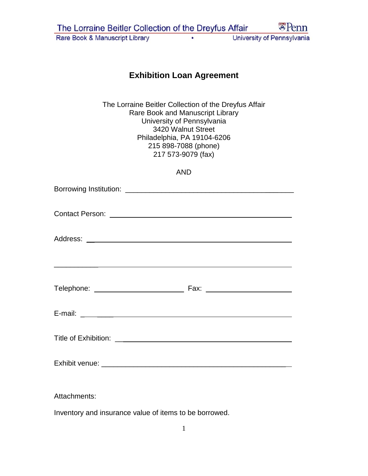| The Lorraine Beitler Collection of the Dreyfus Affair |  | $\mathbb{Z}$ Penn          |
|-------------------------------------------------------|--|----------------------------|
| Rare Book & Manuscript Library                        |  | University of Pennsylvania |

## **Exhibition Loan Agreement**

The Lorraine Beitler Collection of the Dreyfus Affair Rare Book and Manuscript Library University of Pennsylvania 3420 Walnut Street Philadelphia, PA 19104-6206 215 898-7088 (phone) 217 573-9079 (fax)

| <b>AND</b>                                                                                                           |
|----------------------------------------------------------------------------------------------------------------------|
|                                                                                                                      |
|                                                                                                                      |
| <u> Andreas Andreas Andreas Andreas Andreas Andreas Andreas Andreas Andreas Andreas Andreas Andreas Andreas Andr</u> |
|                                                                                                                      |
|                                                                                                                      |
|                                                                                                                      |
|                                                                                                                      |
| Attachments:                                                                                                         |

Inventory and insurance value of items to be borrowed.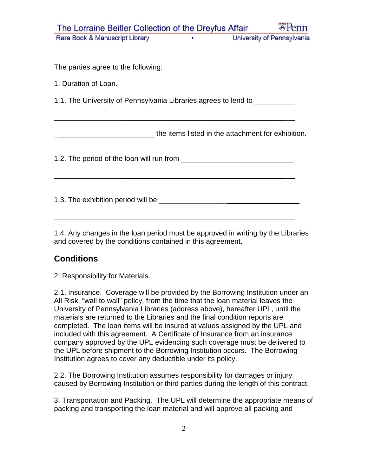| The Lorraine Beitler Collection of the Dreyfus Affair                      |   | $\mathbb{Z}$ Penn                                  |
|----------------------------------------------------------------------------|---|----------------------------------------------------|
| Rare Book & Manuscript Library                                             | ٠ | University of Pennsylvania                         |
|                                                                            |   |                                                    |
| The parties agree to the following:                                        |   |                                                    |
| 1. Duration of Loan.                                                       |   |                                                    |
| 1.1. The University of Pennsylvania Libraries agrees to lend to __________ |   |                                                    |
|                                                                            |   |                                                    |
|                                                                            |   | the items listed in the attachment for exhibition. |
|                                                                            |   |                                                    |
|                                                                            |   |                                                    |

1.4. Any changes in the loan period must be approved in writing by the Libraries and covered by the conditions contained in this agreement.

## **Conditions**

2. Responsibility for Materials.

2.1. Insurance. Coverage will be provided by the Borrowing Institution under an All Risk, "wall to wall" policy, from the time that the loan material leaves the University of Pennsylvania Libraries (address above), hereafter UPL, until the materials are returned to the Libraries and the final condition reports are completed. The loan items will be insured at values assigned by the UPL and included with this agreement. A Certificate of Insurance from an insurance company approved by the UPL evidencing such coverage must be delivered to the UPL before shipment to the Borrowing Institution occurs. The Borrowing Institution agrees to cover any deductible under its policy.

2.2. The Borrowing Institution assumes responsibility for damages or injury caused by Borrowing Institution or third parties during the length of this contract.

3. Transportation and Packing. The UPL will determine the appropriate means of packing and transporting the loan material and will approve all packing and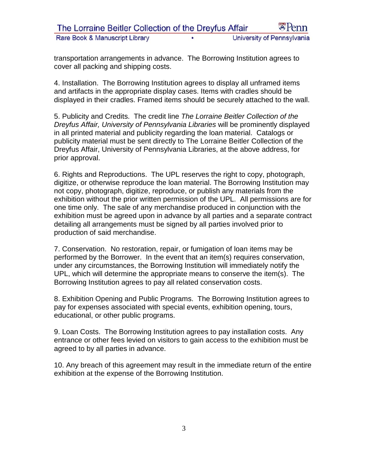transportation arrangements in advance. The Borrowing Institution agrees to cover all packing and shipping costs.

4. Installation. The Borrowing Institution agrees to display all unframed items and artifacts in the appropriate display cases. Items with cradles should be displayed in their cradles. Framed items should be securely attached to the wall.

5. Publicity and Credits. The credit line *The Lorraine Beitler Collection of the Dreyfus Affair, University of Pennsylvania Libraries* will be prominently displayed in all printed material and publicity regarding the loan material. Catalogs or publicity material must be sent directly to The Lorraine Beitler Collection of the Dreyfus Affair, University of Pennsylvania Libraries, at the above address, for prior approval.

6. Rights and Reproductions. The UPL reserves the right to copy, photograph, digitize, or otherwise reproduce the loan material. The Borrowing Institution may not copy, photograph, digitize, reproduce, or publish any materials from the exhibition without the prior written permission of the UPL. All permissions are for one time only. The sale of any merchandise produced in conjunction with the exhibition must be agreed upon in advance by all parties and a separate contract detailing all arrangements must be signed by all parties involved prior to production of said merchandise.

7. Conservation. No restoration, repair, or fumigation of loan items may be performed by the Borrower. In the event that an item(s) requires conservation, under any circumstances, the Borrowing Institution will immediately notify the UPL, which will determine the appropriate means to conserve the item(s). The Borrowing Institution agrees to pay all related conservation costs.

8. Exhibition Opening and Public Programs. The Borrowing Institution agrees to pay for expenses associated with special events, exhibition opening, tours, educational, or other public programs.

9. Loan Costs. The Borrowing Institution agrees to pay installation costs. Any entrance or other fees levied on visitors to gain access to the exhibition must be agreed to by all parties in advance.

10. Any breach of this agreement may result in the immediate return of the entire exhibition at the expense of the Borrowing Institution.